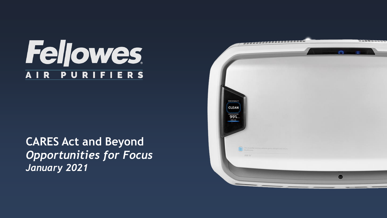### **Feljowes PURIFIERS** AIR

**CARES Act and Beyond** *Opportunities for Focus January 2021*

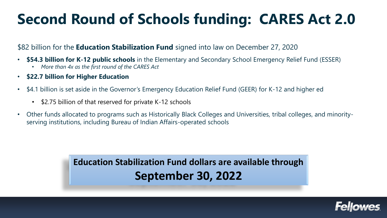# **Second Round of Schools funding: CARES Act 2.0**

#### \$82 billion for the **Education Stabilization Fund** signed into law on December 27, 2020

- **\$54.3 billion for K-12 public schools** in the Elementary and Secondary School Emergency Relief Fund (ESSER)
	- *More than 4x as the first round of the CARES Act*
- **\$22.7 billion for Higher Education**
- \$4.1 billion is set aside in the Governor's Emergency Education Relief Fund (GEER) for K-12 and higher ed
	- \$2.75 billion of that reserved for private K-12 schools
- Other funds allocated to programs such as Historically Black Colleges and Universities, tribal colleges, and minorityserving institutions, including Bureau of Indian Affairs-operated schools

**Education Stabilization Fund dollars are available through September 30, 2022**

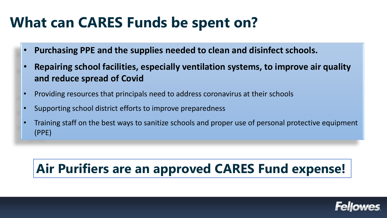## **What can CARES Funds be spent on?**

- **Purchasing PPE and the supplies needed to clean and disinfect schools.**
- **Repairing school facilities, especially ventilation systems, to improve air quality and reduce spread of Covid**
- Providing resources that principals need to address coronavirus at their schools
- Supporting school district efforts to improve preparedness
- Training staff on the best ways to sanitize schools and proper use of personal protective equipment (PPE)

### **Air Purifiers are an approved CARES Fund expense!**

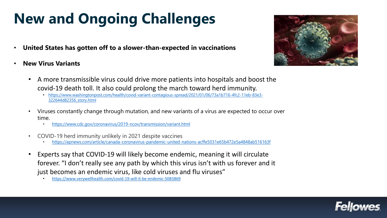# **New and Ongoing Challenges**

- **United States has gotten off to a slower-than-expected in vaccinations**
- **New Virus Variants**



- A more transmissible virus could drive more patients into hospitals and boost the covid-19 death toll. It also could prolong the march toward herd immunity.
	- [https://www.washingtonpost.com/health/covid-variant-contagious-spread/2021/01/06/73a1b716-4fc2-11eb-83e3-](https://www.washingtonpost.com/health/covid-variant-contagious-spread/2021/01/06/73a1b716-4fc2-11eb-83e3-322644d82356_story.html) 322644d82356\_story.html
- Viruses constantly change through mutation, and new variants of a virus are expected to occur over time.
	- <https://www.cdc.gov/coronavirus/2019-ncov/transmission/variant.html>
- COVID-19 herd immunity unlikely in 2021 despite vaccines
	- <https://apnews.com/article/canada-coronavirus-pandemic-united-nations-acffe5031e65b472e5a4848ab516163f>
- Experts say that COVID-19 will likely become endemic, meaning it will circulate forever. "I don't really see any path by which this virus isn't with us forever and it just becomes an endemic virus, like cold viruses and flu viruses"
	- <https://www.verywellhealth.com/covid-19-will-it-be-endemic-5083869>

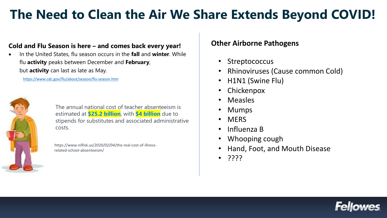### **The Need to Clean the Air We Share Extends Beyond COVID!**

#### **Cold and Flu Season is here – and comes back every year!**

• In the United States, flu season occurs in the **fall** and **winter**. While flu **activity** peaks between December and **February**, but **activity** can last as late as May.

<https://www.cdc.gov/flu/about/season/flu-season.htm>



The annual national cost of teacher absenteeism is estimated at **\$25.2 billion**, with **\$4 billion** due to stipends for substitutes and associated administrative costs.

https://www.nilfisk.us/2020/02/04/the-real-cost-of-illnessrelated-school-absenteeism/

#### **Other Airborne Pathogens**

- Streptococcus
- Rhinoviruses (Cause common Cold)
- H1N1 (Swine Flu)
- Chickenpox
- Measles
- Mumps
- MERS
- Influenza B
- Whooping cough
- Hand, Foot, and Mouth Disease
- ????